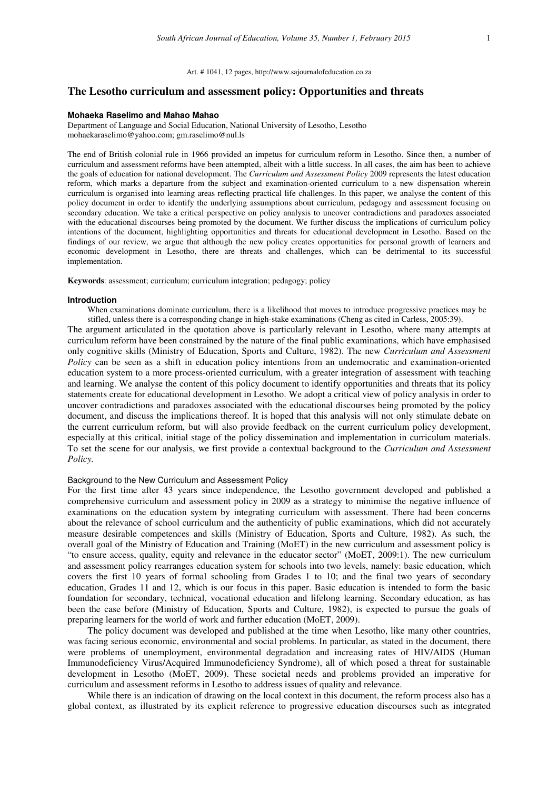# **The Lesotho curriculum and assessment policy: Opportunities and threats**

#### **Mohaeka Raselimo and Mahao Mahao**

Department of Language and Social Education, National University of Lesotho, Lesotho mohaekaraselimo@yahoo.com; gm.raselimo@nul.ls

The end of British colonial rule in 1966 provided an impetus for curriculum reform in Lesotho. Since then, a number of curriculum and assessment reforms have been attempted, albeit with a little success. In all cases, the aim has been to achieve the goals of education for national development. The *Curriculum and Assessment Policy* 2009 represents the latest education reform, which marks a departure from the subject and examination-oriented curriculum to a new dispensation wherein curriculum is organised into learning areas reflecting practical life challenges. In this paper, we analyse the content of this policy document in order to identify the underlying assumptions about curriculum, pedagogy and assessment focusing on secondary education. We take a critical perspective on policy analysis to uncover contradictions and paradoxes associated with the educational discourses being promoted by the document. We further discuss the implications of curriculum policy intentions of the document, highlighting opportunities and threats for educational development in Lesotho. Based on the findings of our review, we argue that although the new policy creates opportunities for personal growth of learners and economic development in Lesotho, there are threats and challenges, which can be detrimental to its successful implementation.

**Keywords**: assessment; curriculum; curriculum integration; pedagogy; policy

#### **Introduction**

When examinations dominate curriculum, there is a likelihood that moves to introduce progressive practices may be stifled, unless there is a corresponding change in high-stake examinations (Cheng as cited in Carless, 2005:39).

The argument articulated in the quotation above is particularly relevant in Lesotho, where many attempts at curriculum reform have been constrained by the nature of the final public examinations, which have emphasised only cognitive skills (Ministry of Education, Sports and Culture, 1982). The new *Curriculum and Assessment Policy* can be seen as a shift in education policy intentions from an undemocratic and examination-oriented education system to a more process-oriented curriculum, with a greater integration of assessment with teaching and learning. We analyse the content of this policy document to identify opportunities and threats that its policy statements create for educational development in Lesotho. We adopt a critical view of policy analysis in order to uncover contradictions and paradoxes associated with the educational discourses being promoted by the policy document, and discuss the implications thereof. It is hoped that this analysis will not only stimulate debate on the current curriculum reform, but will also provide feedback on the current curriculum policy development, especially at this critical, initial stage of the policy dissemination and implementation in curriculum materials. To set the scene for our analysis, we first provide a contextual background to the *Curriculum and Assessment Policy.*

# Background to the New Curriculum and Assessment Policy

For the first time after 43 years since independence, the Lesotho government developed and published a comprehensive curriculum and assessment policy in 2009 as a strategy to minimise the negative influence of examinations on the education system by integrating curriculum with assessment. There had been concerns about the relevance of school curriculum and the authenticity of public examinations, which did not accurately measure desirable competences and skills (Ministry of Education, Sports and Culture*,* 1982). As such, the overall goal of the Ministry of Education and Training (MoET) in the new curriculum and assessment policy is "to ensure access, quality, equity and relevance in the educator sector" (MoET, 2009:1). The new curriculum and assessment policy rearranges education system for schools into two levels, namely: basic education, which covers the first 10 years of formal schooling from Grades 1 to 10; and the final two years of secondary education, Grades 11 and 12, which is our focus in this paper. Basic education is intended to form the basic foundation for secondary, technical, vocational education and lifelong learning. Secondary education, as has been the case before (Ministry of Education, Sports and Culture, 1982), is expected to pursue the goals of preparing learners for the world of work and further education (MoET, 2009).

The policy document was developed and published at the time when Lesotho, like many other countries, was facing serious economic, environmental and social problems. In particular, as stated in the document, there were problems of unemployment, environmental degradation and increasing rates of HIV/AIDS (Human Immunodeficiency Virus/Acquired Immunodeficiency Syndrome), all of which posed a threat for sustainable development in Lesotho (MoET, 2009). These societal needs and problems provided an imperative for curriculum and assessment reforms in Lesotho to address issues of quality and relevance.

While there is an indication of drawing on the local context in this document, the reform process also has a global context, as illustrated by its explicit reference to progressive education discourses such as integrated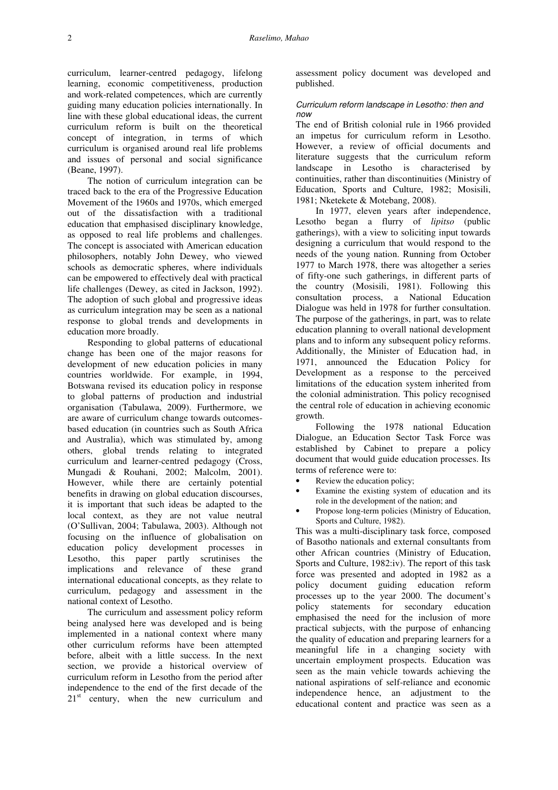curriculum, learner-centred pedagogy, lifelong learning, economic competitiveness, production and work-related competences, which are currently guiding many education policies internationally. In line with these global educational ideas, the current curriculum reform is built on the theoretical concept of integration, in terms of which curriculum is organised around real life problems and issues of personal and social significance (Beane, 1997).

The notion of curriculum integration can be traced back to the era of the Progressive Education Movement of the 1960s and 1970s, which emerged out of the dissatisfaction with a traditional education that emphasised disciplinary knowledge, as opposed to real life problems and challenges. The concept is associated with American education philosophers, notably John Dewey, who viewed schools as democratic spheres, where individuals can be empowered to effectively deal with practical life challenges (Dewey, as cited in Jackson, 1992). The adoption of such global and progressive ideas as curriculum integration may be seen as a national response to global trends and developments in education more broadly.

Responding to global patterns of educational change has been one of the major reasons for development of new education policies in many countries worldwide. For example, in 1994, Botswana revised its education policy in response to global patterns of production and industrial organisation (Tabulawa, 2009). Furthermore, we are aware of curriculum change towards outcomesbased education (in countries such as South Africa and Australia), which was stimulated by, among others, global trends relating to integrated curriculum and learner-centred pedagogy (Cross, Mungadi & Rouhani, 2002; Malcolm, 2001). However, while there are certainly potential benefits in drawing on global education discourses, it is important that such ideas be adapted to the local context, as they are not value neutral (O'Sullivan, 2004; Tabulawa, 2003). Although not focusing on the influence of globalisation on education policy development processes in Lesotho, this paper partly scrutinises the implications and relevance of these grand international educational concepts, as they relate to curriculum, pedagogy and assessment in the national context of Lesotho.

The curriculum and assessment policy reform being analysed here was developed and is being implemented in a national context where many other curriculum reforms have been attempted before, albeit with a little success. In the next section, we provide a historical overview of curriculum reform in Lesotho from the period after independence to the end of the first decade of the  $21<sup>st</sup>$  century, when the new curriculum and

assessment policy document was developed and published.

# Curriculum reform landscape in Lesotho: then and  $n<sub>0M</sub>$

The end of British colonial rule in 1966 provided an impetus for curriculum reform in Lesotho. However, a review of official documents and literature suggests that the curriculum reform landscape in Lesotho is characterised by continuities, rather than discontinuities (Ministry of Education, Sports and Culture, 1982; Mosisili, 1981; Nketekete & Motebang, 2008).

In 1977, eleven years after independence, Lesotho began a flurry of *lipitso* (public gatherings), with a view to soliciting input towards designing a curriculum that would respond to the needs of the young nation. Running from October 1977 to March 1978, there was altogether a series of fifty-one such gatherings, in different parts of the country (Mosisili, 1981). Following this consultation process, a National Education Dialogue was held in 1978 for further consultation. The purpose of the gatherings, in part, was to relate education planning to overall national development plans and to inform any subsequent policy reforms. Additionally, the Minister of Education had, in 1971, announced the Education Policy for Development as a response to the perceived limitations of the education system inherited from the colonial administration. This policy recognised the central role of education in achieving economic growth.

Following the 1978 national Education Dialogue, an Education Sector Task Force was established by Cabinet to prepare a policy document that would guide education processes. Its terms of reference were to:

- Review the education policy;
- Examine the existing system of education and its role in the development of the nation; and
- Propose long-term policies (Ministry of Education, Sports and Culture, 1982).

This was a multi-disciplinary task force, composed of Basotho nationals and external consultants from other African countries (Ministry of Education, Sports and Culture, 1982:iv). The report of this task force was presented and adopted in 1982 as a policy document guiding education reform processes up to the year 2000. The document's policy statements for secondary education emphasised the need for the inclusion of more practical subjects, with the purpose of enhancing the quality of education and preparing learners for a meaningful life in a changing society with uncertain employment prospects. Education was seen as the main vehicle towards achieving the national aspirations of self-reliance and economic independence hence, an adjustment to the educational content and practice was seen as a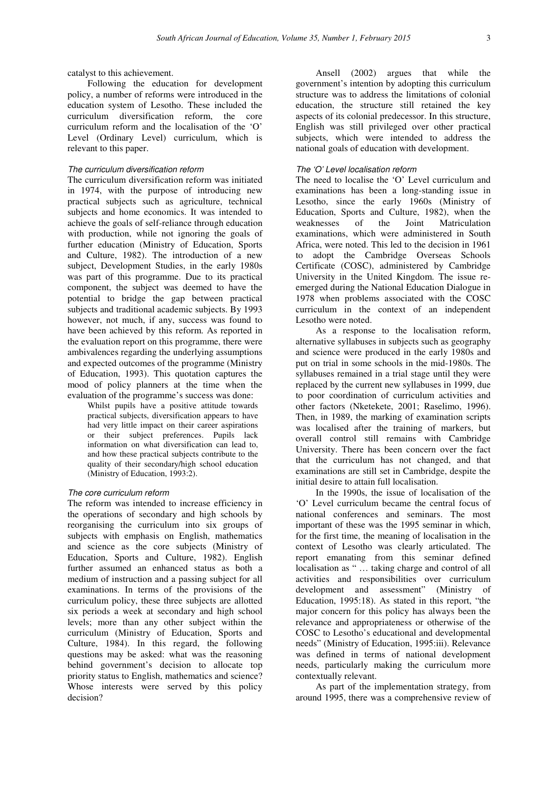catalyst to this achievement.

Following the education for development policy, a number of reforms were introduced in the education system of Lesotho. These included the curriculum diversification reform, the core curriculum reform and the localisation of the 'O' Level (Ordinary Level) curriculum, which is relevant to this paper.

# The curriculum diversification reform

The curriculum diversification reform was initiated in 1974, with the purpose of introducing new practical subjects such as agriculture, technical subjects and home economics. It was intended to achieve the goals of self-reliance through education with production, while not ignoring the goals of further education (Ministry of Education, Sports and Culture, 1982). The introduction of a new subject, Development Studies, in the early 1980s was part of this programme. Due to its practical component, the subject was deemed to have the potential to bridge the gap between practical subjects and traditional academic subjects. By 1993 however, not much, if any, success was found to have been achieved by this reform. As reported in the evaluation report on this programme, there were ambivalences regarding the underlying assumptions and expected outcomes of the programme (Ministry of Education, 1993). This quotation captures the mood of policy planners at the time when the evaluation of the programme's success was done:

Whilst pupils have a positive attitude towards practical subjects, diversification appears to have had very little impact on their career aspirations or their subject preferences. Pupils lack information on what diversification can lead to, and how these practical subjects contribute to the quality of their secondary/high school education (Ministry of Education, 1993:2).

### The core curriculum reform

The reform was intended to increase efficiency in the operations of secondary and high schools by reorganising the curriculum into six groups of subjects with emphasis on English, mathematics and science as the core subjects (Ministry of Education, Sports and Culture, 1982). English further assumed an enhanced status as both a medium of instruction and a passing subject for all examinations. In terms of the provisions of the curriculum policy, these three subjects are allotted six periods a week at secondary and high school levels; more than any other subject within the curriculum (Ministry of Education, Sports and Culture, 1984). In this regard, the following questions may be asked: what was the reasoning behind government's decision to allocate top priority status to English, mathematics and science? Whose interests were served by this policy decision?

Ansell (2002) argues that while the government's intention by adopting this curriculum structure was to address the limitations of colonial education, the structure still retained the key aspects of its colonial predecessor. In this structure, English was still privileged over other practical subjects, which were intended to address the national goals of education with development.

# The 'O' Level localisation reform

The need to localise the 'O' Level curriculum and examinations has been a long-standing issue in Lesotho, since the early 1960s (Ministry of Education, Sports and Culture, 1982), when the weaknesses of the Joint Matriculation examinations, which were administered in South Africa, were noted. This led to the decision in 1961 to adopt the Cambridge Overseas Schools Certificate (COSC), administered by Cambridge University in the United Kingdom. The issue reemerged during the National Education Dialogue in 1978 when problems associated with the COSC curriculum in the context of an independent Lesotho were noted.

As a response to the localisation reform, alternative syllabuses in subjects such as geography and science were produced in the early 1980s and put on trial in some schools in the mid-1980s. The syllabuses remained in a trial stage until they were replaced by the current new syllabuses in 1999, due to poor coordination of curriculum activities and other factors (Nketekete, 2001; Raselimo, 1996). Then, in 1989, the marking of examination scripts was localised after the training of markers, but overall control still remains with Cambridge University. There has been concern over the fact that the curriculum has not changed, and that examinations are still set in Cambridge, despite the initial desire to attain full localisation.

In the 1990s, the issue of localisation of the 'O' Level curriculum became the central focus of national conferences and seminars. The most important of these was the 1995 seminar in which, for the first time, the meaning of localisation in the context of Lesotho was clearly articulated. The report emanating from this seminar defined localisation as " … taking charge and control of all activities and responsibilities over curriculum development and assessment" (Ministry of Education, 1995:18). As stated in this report, "the major concern for this policy has always been the relevance and appropriateness or otherwise of the COSC to Lesotho's educational and developmental needs" (Ministry of Education, 1995:iii). Relevance was defined in terms of national development needs, particularly making the curriculum more contextually relevant.

As part of the implementation strategy, from around 1995, there was a comprehensive review of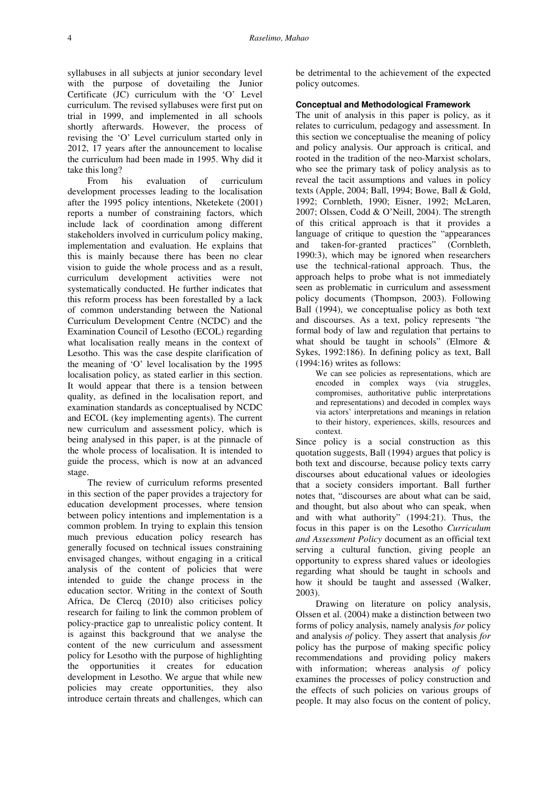syllabuses in all subjects at junior secondary level with the purpose of dovetailing the Junior Certificate (JC) curriculum with the 'O' Level curriculum. The revised syllabuses were first put on trial in 1999, and implemented in all schools shortly afterwards. However, the process of revising the 'O' Level curriculum started only in 2012, 17 years after the announcement to localise the curriculum had been made in 1995. Why did it take this long?

From his evaluation of curriculum development processes leading to the localisation after the 1995 policy intentions, Nketekete (2001) reports a number of constraining factors, which include lack of coordination among different stakeholders involved in curriculum policy making, implementation and evaluation. He explains that this is mainly because there has been no clear vision to guide the whole process and as a result, curriculum development activities were not systematically conducted. He further indicates that this reform process has been forestalled by a lack of common understanding between the National Curriculum Development Centre (NCDC) and the Examination Council of Lesotho (ECOL) regarding what localisation really means in the context of Lesotho. This was the case despite clarification of the meaning of 'O' level localisation by the 1995 localisation policy, as stated earlier in this section. It would appear that there is a tension between quality, as defined in the localisation report, and examination standards as conceptualised by NCDC and ECOL (key implementing agents). The current new curriculum and assessment policy, which is being analysed in this paper, is at the pinnacle of the whole process of localisation. It is intended to guide the process, which is now at an advanced stage.

The review of curriculum reforms presented in this section of the paper provides a trajectory for education development processes, where tension between policy intentions and implementation is a common problem. In trying to explain this tension much previous education policy research has generally focused on technical issues constraining envisaged changes, without engaging in a critical analysis of the content of policies that were intended to guide the change process in the education sector. Writing in the context of South Africa, De Clercq (2010) also criticises policy research for failing to link the common problem of policy-practice gap to unrealistic policy content. It is against this background that we analyse the content of the new curriculum and assessment policy for Lesotho with the purpose of highlighting the opportunities it creates for education development in Lesotho. We argue that while new policies may create opportunities, they also introduce certain threats and challenges, which can

be detrimental to the achievement of the expected policy outcomes.

### **Conceptual and Methodological Framework**

The unit of analysis in this paper is policy, as it relates to curriculum, pedagogy and assessment. In this section we conceptualise the meaning of policy and policy analysis. Our approach is critical, and rooted in the tradition of the neo-Marxist scholars, who see the primary task of policy analysis as to reveal the tacit assumptions and values in policy texts (Apple, 2004; Ball, 1994; Bowe, Ball & Gold, 1992; Cornbleth, 1990; Eisner, 1992; McLaren, 2007; Olssen, Codd & O'Neill, 2004). The strength of this critical approach is that it provides a language of critique to question the "appearances and taken-for-granted practices" (Cornbleth, 1990:3), which may be ignored when researchers use the technical-rational approach. Thus, the approach helps to probe what is not immediately seen as problematic in curriculum and assessment policy documents (Thompson, 2003). Following Ball (1994), we conceptualise policy as both text and discourses. As a text, policy represents "the formal body of law and regulation that pertains to what should be taught in schools" (Elmore & Sykes, 1992:186). In defining policy as text, Ball (1994:16) writes as follows:

We can see policies as representations, which are encoded in complex ways (via struggles, compromises, authoritative public interpretations and representations) and decoded in complex ways via actors' interpretations and meanings in relation to their history, experiences, skills, resources and context.

Since policy is a social construction as this quotation suggests, Ball (1994) argues that policy is both text and discourse, because policy texts carry discourses about educational values or ideologies that a society considers important. Ball further notes that, "discourses are about what can be said, and thought, but also about who can speak, when and with what authority" (1994:21). Thus, the focus in this paper is on the Lesotho *Curriculum and Assessment Policy* document as an official text serving a cultural function, giving people an opportunity to express shared values or ideologies regarding what should be taught in schools and how it should be taught and assessed (Walker, 2003).

Drawing on literature on policy analysis, Olssen et al. (2004) make a distinction between two forms of policy analysis, namely analysis *for* policy and analysis *of* policy. They assert that analysis *for* policy has the purpose of making specific policy recommendations and providing policy makers with information; whereas analysis *of* policy examines the processes of policy construction and the effects of such policies on various groups of people. It may also focus on the content of policy,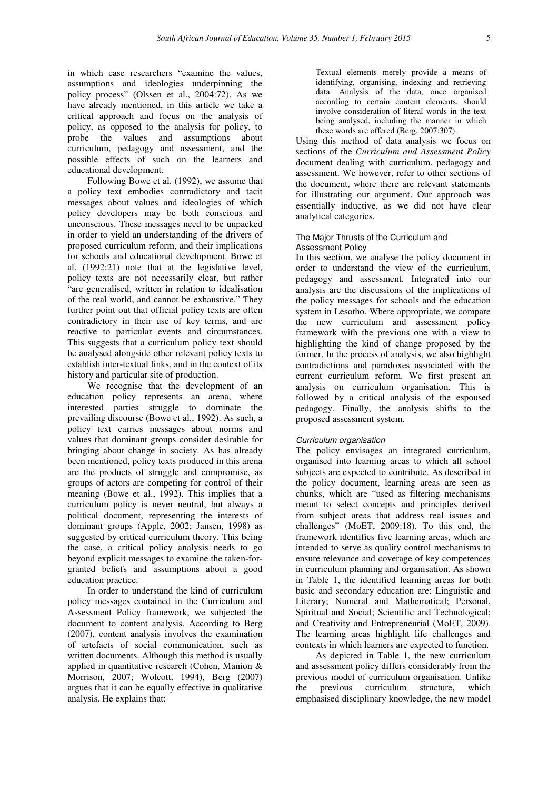in which case researchers "examine the values, assumptions and ideologies underpinning the policy process" (Olssen et al., 2004:72). As we have already mentioned, in this article we take a critical approach and focus on the analysis of policy, as opposed to the analysis for policy, to probe the values and assumptions about curriculum, pedagogy and assessment, and the possible effects of such on the learners and educational development.

Following Bowe et al. (1992), we assume that a policy text embodies contradictory and tacit messages about values and ideologies of which policy developers may be both conscious and unconscious. These messages need to be unpacked in order to yield an understanding of the drivers of proposed curriculum reform, and their implications for schools and educational development. Bowe et al. (1992:21) note that at the legislative level, policy texts are not necessarily clear, but rather "are generalised, written in relation to idealisation of the real world, and cannot be exhaustive." They further point out that official policy texts are often contradictory in their use of key terms, and are reactive to particular events and circumstances. This suggests that a curriculum policy text should be analysed alongside other relevant policy texts to establish inter-textual links, and in the context of its history and particular site of production.

We recognise that the development of an education policy represents an arena, where interested parties struggle to dominate the prevailing discourse (Bowe et al., 1992). As such, a policy text carries messages about norms and values that dominant groups consider desirable for bringing about change in society. As has already been mentioned, policy texts produced in this arena are the products of struggle and compromise, as groups of actors are competing for control of their meaning (Bowe et al., 1992). This implies that a curriculum policy is never neutral, but always a political document, representing the interests of dominant groups (Apple, 2002; Jansen, 1998) as suggested by critical curriculum theory. This being the case, a critical policy analysis needs to go beyond explicit messages to examine the taken-forgranted beliefs and assumptions about a good education practice.

In order to understand the kind of curriculum policy messages contained in the Curriculum and Assessment Policy framework, we subjected the document to content analysis. According to Berg (2007), content analysis involves the examination of artefacts of social communication, such as written documents. Although this method is usually applied in quantitative research (Cohen, Manion & Morrison, 2007; Wolcott, 1994), Berg (2007) argues that it can be equally effective in qualitative analysis. He explains that:

Textual elements merely provide a means of identifying, organising, indexing and retrieving data. Analysis of the data, once organised according to certain content elements, should involve consideration of literal words in the text being analysed, including the manner in which these words are offered (Berg, 2007:307).

Using this method of data analysis we focus on sections of the *Curriculum and Assessment Policy* document dealing with curriculum, pedagogy and assessment. We however, refer to other sections of the document, where there are relevant statements for illustrating our argument. Our approach was essentially inductive, as we did not have clear analytical categories.

### The Major Thrusts of the Curriculum and Assessment Policy

In this section, we analyse the policy document in order to understand the view of the curriculum, pedagogy and assessment. Integrated into our analysis are the discussions of the implications of the policy messages for schools and the education system in Lesotho. Where appropriate, we compare the new curriculum and assessment policy framework with the previous one with a view to highlighting the kind of change proposed by the former. In the process of analysis, we also highlight contradictions and paradoxes associated with the current curriculum reform. We first present an analysis on curriculum organisation. This is followed by a critical analysis of the espoused pedagogy. Finally, the analysis shifts to the proposed assessment system.

### Curriculum organisation

The policy envisages an integrated curriculum, organised into learning areas to which all school subjects are expected to contribute. As described in the policy document, learning areas are seen as chunks, which are "used as filtering mechanisms meant to select concepts and principles derived from subject areas that address real issues and challenges" (MoET, 2009:18). To this end, the framework identifies five learning areas, which are intended to serve as quality control mechanisms to ensure relevance and coverage of key competences in curriculum planning and organisation. As shown in Table 1, the identified learning areas for both basic and secondary education are: Linguistic and Literary; Numeral and Mathematical; Personal, Spiritual and Social; Scientific and Technological; and Creativity and Entrepreneurial (MoET, 2009). The learning areas highlight life challenges and contexts in which learners are expected to function.

As depicted in Table 1, the new curriculum and assessment policy differs considerably from the previous model of curriculum organisation. Unlike<br>the previous curriculum structure, which the previous curriculum structure, which emphasised disciplinary knowledge, the new model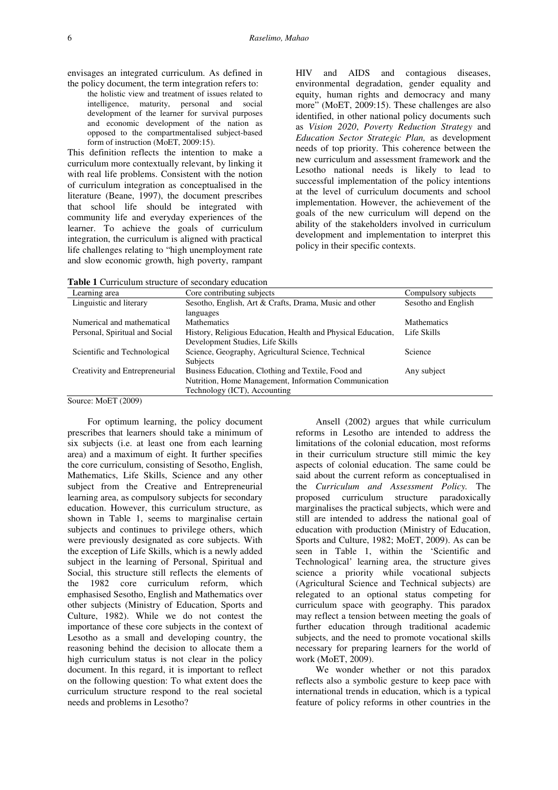the policy document, the term integration refers to: the holistic view and treatment of issues related to intelligence, maturity, personal and social development of the learner for survival purposes and economic development of the nation as opposed to the compartmentalised subject-based form of instruction (MoET, 2009:15).

envisages an integrated curriculum. As defined in

This definition reflects the intention to make a curriculum more contextually relevant, by linking it with real life problems. Consistent with the notion of curriculum integration as conceptualised in the literature (Beane, 1997), the document prescribes that school life should be integrated with community life and everyday experiences of the learner. To achieve the goals of curriculum integration, the curriculum is aligned with practical life challenges relating to "high unemployment rate and slow economic growth, high poverty, rampant

HIV and AIDS and contagious diseases, environmental degradation, gender equality and equity, human rights and democracy and many more" (MoET, 2009:15). These challenges are also identified, in other national policy documents such as *Vision 2020*, *Poverty Reduction Strategy* and *Education Sector Strategic Plan,* as development needs of top priority. This coherence between the new curriculum and assessment framework and the Lesotho national needs is likely to lead to successful implementation of the policy intentions at the level of curriculum documents and school implementation. However, the achievement of the goals of the new curriculum will depend on the ability of the stakeholders involved in curriculum development and implementation to interpret this policy in their specific contexts.

| <b>Table 1</b> Curriculum structure of secondary education |  |
|------------------------------------------------------------|--|
|------------------------------------------------------------|--|

| Learning area                  | Core contributing subjects                                   | Compulsory subjects |
|--------------------------------|--------------------------------------------------------------|---------------------|
| Linguistic and literary        | Sesotho, English, Art & Crafts, Drama, Music and other       | Sesotho and English |
|                                | languages                                                    |                     |
| Numerical and mathematical     | <b>Mathematics</b>                                           | Mathematics         |
| Personal, Spiritual and Social | History, Religious Education, Health and Physical Education, | Life Skills         |
|                                | Development Studies, Life Skills                             |                     |
| Scientific and Technological   | Science, Geography, Agricultural Science, Technical          | Science             |
|                                | <b>Subjects</b>                                              |                     |
| Creativity and Entrepreneurial | Business Education, Clothing and Textile, Food and           | Any subject         |
|                                | Nutrition, Home Management, Information Communication        |                     |
|                                | Technology (ICT), Accounting                                 |                     |

Source: MoET (2009)

For optimum learning, the policy document prescribes that learners should take a minimum of six subjects (i.e. at least one from each learning area) and a maximum of eight. It further specifies the core curriculum, consisting of Sesotho, English, Mathematics, Life Skills, Science and any other subject from the Creative and Entrepreneurial learning area, as compulsory subjects for secondary education. However, this curriculum structure, as shown in Table 1, seems to marginalise certain subjects and continues to privilege others, which were previously designated as core subjects. With the exception of Life Skills, which is a newly added subject in the learning of Personal, Spiritual and Social, this structure still reflects the elements of the 1982 core curriculum reform, which emphasised Sesotho, English and Mathematics over other subjects (Ministry of Education, Sports and Culture, 1982). While we do not contest the importance of these core subjects in the context of Lesotho as a small and developing country, the reasoning behind the decision to allocate them a high curriculum status is not clear in the policy document. In this regard, it is important to reflect on the following question: To what extent does the curriculum structure respond to the real societal needs and problems in Lesotho?

Ansell (2002) argues that while curriculum reforms in Lesotho are intended to address the limitations of the colonial education, most reforms in their curriculum structure still mimic the key aspects of colonial education. The same could be said about the current reform as conceptualised in the *Curriculum and Assessment Policy.* The proposed curriculum structure paradoxically marginalises the practical subjects, which were and still are intended to address the national goal of education with production (Ministry of Education, Sports and Culture, 1982; MoET, 2009). As can be seen in Table 1, within the 'Scientific and Technological' learning area, the structure gives science a priority while vocational subjects (Agricultural Science and Technical subjects) are relegated to an optional status competing for curriculum space with geography. This paradox may reflect a tension between meeting the goals of further education through traditional academic subjects, and the need to promote vocational skills necessary for preparing learners for the world of work (MoET, 2009).

We wonder whether or not this paradox reflects also a symbolic gesture to keep pace with international trends in education, which is a typical feature of policy reforms in other countries in the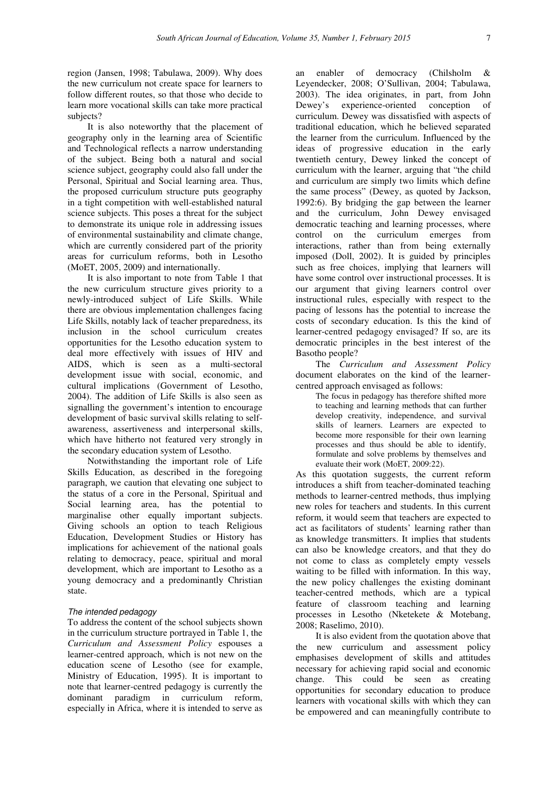region (Jansen, 1998; Tabulawa, 2009). Why does the new curriculum not create space for learners to follow different routes, so that those who decide to learn more vocational skills can take more practical subjects?

It is also noteworthy that the placement of geography only in the learning area of Scientific and Technological reflects a narrow understanding of the subject. Being both a natural and social science subject, geography could also fall under the Personal, Spiritual and Social learning area. Thus, the proposed curriculum structure puts geography in a tight competition with well-established natural science subjects. This poses a threat for the subject to demonstrate its unique role in addressing issues of environmental sustainability and climate change, which are currently considered part of the priority areas for curriculum reforms, both in Lesotho (MoET, 2005, 2009) and internationally.

It is also important to note from Table 1 that the new curriculum structure gives priority to a newly-introduced subject of Life Skills. While there are obvious implementation challenges facing Life Skills, notably lack of teacher preparedness, its inclusion in the school curriculum creates opportunities for the Lesotho education system to deal more effectively with issues of HIV and AIDS, which is seen as a multi-sectoral development issue with social, economic, and cultural implications (Government of Lesotho, 2004). The addition of Life Skills is also seen as signalling the government's intention to encourage development of basic survival skills relating to selfawareness, assertiveness and interpersonal skills, which have hitherto not featured very strongly in the secondary education system of Lesotho.

Notwithstanding the important role of Life Skills Education, as described in the foregoing paragraph, we caution that elevating one subject to the status of a core in the Personal, Spiritual and Social learning area, has the potential to marginalise other equally important subjects. Giving schools an option to teach Religious Education, Development Studies or History has implications for achievement of the national goals relating to democracy, peace, spiritual and moral development, which are important to Lesotho as a young democracy and a predominantly Christian state.

### The intended pedagogy

To address the content of the school subjects shown in the curriculum structure portrayed in Table 1, the *Curriculum and Assessment Policy* espouses a learner-centred approach, which is not new on the education scene of Lesotho (see for example, Ministry of Education, 1995). It is important to note that learner-centred pedagogy is currently the dominant paradigm in curriculum reform, especially in Africa, where it is intended to serve as

an enabler of democracy (Chilsholm & Leyendecker, 2008; O'Sullivan, 2004; Tabulawa, 2003). The idea originates, in part, from John Dewey's experience-oriented conception of curriculum. Dewey was dissatisfied with aspects of traditional education, which he believed separated the learner from the curriculum. Influenced by the ideas of progressive education in the early twentieth century, Dewey linked the concept of curriculum with the learner, arguing that "the child and curriculum are simply two limits which define the same process" (Dewey, as quoted by Jackson, 1992:6). By bridging the gap between the learner and the curriculum, John Dewey envisaged democratic teaching and learning processes, where control on the curriculum emerges from interactions, rather than from being externally imposed (Doll, 2002). It is guided by principles such as free choices, implying that learners will have some control over instructional processes. It is our argument that giving learners control over instructional rules, especially with respect to the pacing of lessons has the potential to increase the costs of secondary education. Is this the kind of learner-centred pedagogy envisaged? If so, are its democratic principles in the best interest of the Basotho people?

The *Curriculum and Assessment Policy* document elaborates on the kind of the learnercentred approach envisaged as follows:

The focus in pedagogy has therefore shifted more to teaching and learning methods that can further develop creativity, independence, and survival skills of learners. Learners are expected to become more responsible for their own learning processes and thus should be able to identify, formulate and solve problems by themselves and evaluate their work (MoET, 2009:22).

As this quotation suggests, the current reform introduces a shift from teacher-dominated teaching methods to learner-centred methods, thus implying new roles for teachers and students. In this current reform, it would seem that teachers are expected to act as facilitators of students' learning rather than as knowledge transmitters. It implies that students can also be knowledge creators, and that they do not come to class as completely empty vessels waiting to be filled with information. In this way, the new policy challenges the existing dominant teacher-centred methods, which are a typical feature of classroom teaching and learning processes in Lesotho (Nketekete & Motebang, 2008; Raselimo, 2010).

It is also evident from the quotation above that the new curriculum and assessment policy emphasises development of skills and attitudes necessary for achieving rapid social and economic change. This could be seen as creating opportunities for secondary education to produce learners with vocational skills with which they can be empowered and can meaningfully contribute to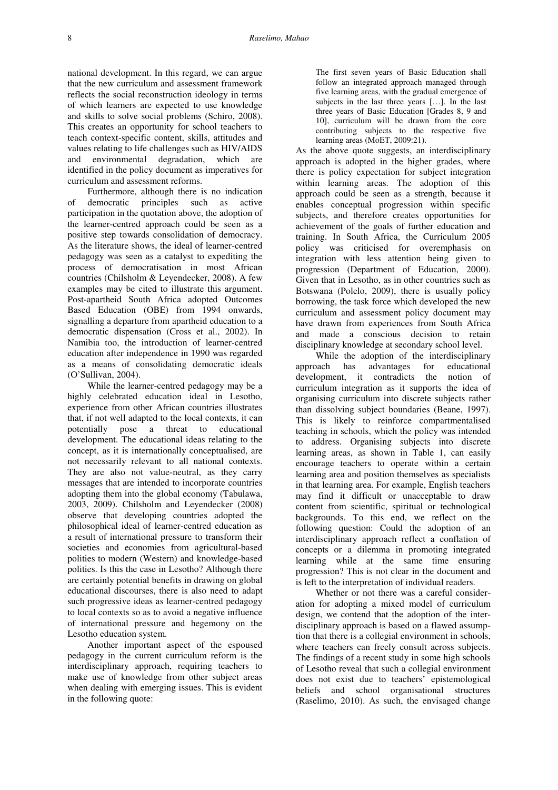national development. In this regard, we can argue that the new curriculum and assessment framework reflects the social reconstruction ideology in terms of which learners are expected to use knowledge and skills to solve social problems (Schiro, 2008). This creates an opportunity for school teachers to teach context-specific content, skills, attitudes and values relating to life challenges such as HIV/AIDS and environmental degradation, which are identified in the policy document as imperatives for curriculum and assessment reforms.

Furthermore, although there is no indication of democratic principles such as active participation in the quotation above, the adoption of the learner-centred approach could be seen as a positive step towards consolidation of democracy. As the literature shows, the ideal of learner-centred pedagogy was seen as a catalyst to expediting the process of democratisation in most African countries (Chilsholm & Leyendecker, 2008). A few examples may be cited to illustrate this argument. Post-apartheid South Africa adopted Outcomes Based Education (OBE) from 1994 onwards, signalling a departure from apartheid education to a democratic dispensation (Cross et al., 2002). In Namibia too, the introduction of learner-centred education after independence in 1990 was regarded as a means of consolidating democratic ideals (O'Sullivan, 2004).

While the learner-centred pedagogy may be a highly celebrated education ideal in Lesotho, experience from other African countries illustrates that, if not well adapted to the local contexts, it can potentially pose a threat to educational development. The educational ideas relating to the concept, as it is internationally conceptualised, are not necessarily relevant to all national contexts. They are also not value-neutral, as they carry messages that are intended to incorporate countries adopting them into the global economy (Tabulawa, 2003, 2009). Chilsholm and Leyendecker (2008) observe that developing countries adopted the philosophical ideal of learner-centred education as a result of international pressure to transform their societies and economies from agricultural-based polities to modern (Western) and knowledge-based polities. Is this the case in Lesotho? Although there are certainly potential benefits in drawing on global educational discourses, there is also need to adapt such progressive ideas as learner-centred pedagogy to local contexts so as to avoid a negative influence of international pressure and hegemony on the Lesotho education system.

Another important aspect of the espoused pedagogy in the current curriculum reform is the interdisciplinary approach, requiring teachers to make use of knowledge from other subject areas when dealing with emerging issues. This is evident in the following quote:

The first seven years of Basic Education shall follow an integrated approach managed through five learning areas, with the gradual emergence of subjects in the last three years […]. In the last three years of Basic Education [Grades 8, 9 and 10], curriculum will be drawn from the core contributing subjects to the respective five learning areas (MoET, 2009:21).

As the above quote suggests, an interdisciplinary approach is adopted in the higher grades, where there is policy expectation for subject integration within learning areas. The adoption of this approach could be seen as a strength, because it enables conceptual progression within specific subjects, and therefore creates opportunities for achievement of the goals of further education and training. In South Africa, the Curriculum 2005 policy was criticised for overemphasis on integration with less attention being given to progression (Department of Education, 2000). Given that in Lesotho, as in other countries such as Botswana (Polelo, 2009), there is usually policy borrowing, the task force which developed the new curriculum and assessment policy document may have drawn from experiences from South Africa and made a conscious decision to retain disciplinary knowledge at secondary school level.

While the adoption of the interdisciplinary approach has advantages for educational development, it contradicts the notion of curriculum integration as it supports the idea of organising curriculum into discrete subjects rather than dissolving subject boundaries (Beane, 1997). This is likely to reinforce compartmentalised teaching in schools, which the policy was intended to address. Organising subjects into discrete learning areas, as shown in Table 1, can easily encourage teachers to operate within a certain learning area and position themselves as specialists in that learning area. For example, English teachers may find it difficult or unacceptable to draw content from scientific, spiritual or technological backgrounds. To this end, we reflect on the following question: Could the adoption of an interdisciplinary approach reflect a conflation of concepts or a dilemma in promoting integrated learning while at the same time ensuring progression? This is not clear in the document and is left to the interpretation of individual readers.

Whether or not there was a careful consideration for adopting a mixed model of curriculum design, we contend that the adoption of the interdisciplinary approach is based on a flawed assumption that there is a collegial environment in schools, where teachers can freely consult across subjects. The findings of a recent study in some high schools of Lesotho reveal that such a collegial environment does not exist due to teachers' epistemological beliefs and school organisational structures (Raselimo, 2010). As such, the envisaged change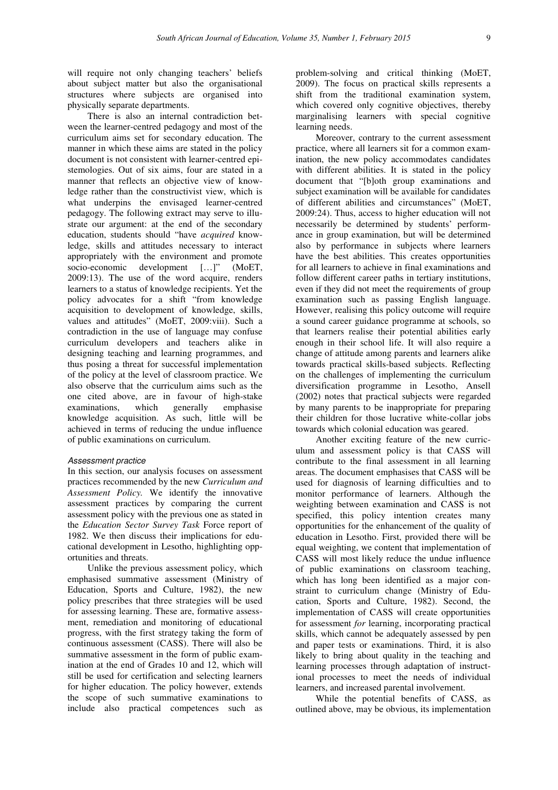will require not only changing teachers' beliefs about subject matter but also the organisational structures where subjects are organised into physically separate departments.

There is also an internal contradiction between the learner-centred pedagogy and most of the curriculum aims set for secondary education. The manner in which these aims are stated in the policy document is not consistent with learner-centred epistemologies. Out of six aims, four are stated in a manner that reflects an objective view of knowledge rather than the constructivist view, which is what underpins the envisaged learner-centred pedagogy. The following extract may serve to illustrate our argument: at the end of the secondary education, students should "have *acquired* knowledge, skills and attitudes necessary to interact appropriately with the environment and promote socio-economic development [...]" (MoET, 2009:13). The use of the word acquire, renders learners to a status of knowledge recipients. Yet the policy advocates for a shift "from knowledge acquisition to development of knowledge, skills, values and attitudes" (MoET, 2009:viii). Such a contradiction in the use of language may confuse curriculum developers and teachers alike in designing teaching and learning programmes, and thus posing a threat for successful implementation of the policy at the level of classroom practice. We also observe that the curriculum aims such as the one cited above, are in favour of high-stake examinations, which generally emphasise knowledge acquisition. As such, little will be achieved in terms of reducing the undue influence of public examinations on curriculum.

#### Assessment practice

In this section, our analysis focuses on assessment practices recommended by the new *Curriculum and Assessment Policy.* We identify the innovative assessment practices by comparing the current assessment policy with the previous one as stated in the *Education Sector Survey Task* Force report of 1982. We then discuss their implications for educational development in Lesotho, highlighting opportunities and threats.

Unlike the previous assessment policy, which emphasised summative assessment (Ministry of Education, Sports and Culture, 1982), the new policy prescribes that three strategies will be used for assessing learning. These are, formative assessment, remediation and monitoring of educational progress, with the first strategy taking the form of continuous assessment (CASS). There will also be summative assessment in the form of public examination at the end of Grades 10 and 12, which will still be used for certification and selecting learners for higher education. The policy however, extends the scope of such summative examinations to include also practical competences such as

problem-solving and critical thinking (MoET, 2009). The focus on practical skills represents a shift from the traditional examination system, which covered only cognitive objectives, thereby marginalising learners with special cognitive learning needs.

Moreover, contrary to the current assessment practice, where all learners sit for a common examination, the new policy accommodates candidates with different abilities. It is stated in the policy document that "[b]oth group examinations and subject examination will be available for candidates of different abilities and circumstances" (MoET, 2009:24). Thus, access to higher education will not necessarily be determined by students' performance in group examination, but will be determined also by performance in subjects where learners have the best abilities. This creates opportunities for all learners to achieve in final examinations and follow different career paths in tertiary institutions, even if they did not meet the requirements of group examination such as passing English language. However, realising this policy outcome will require a sound career guidance programme at schools, so that learners realise their potential abilities early enough in their school life. It will also require a change of attitude among parents and learners alike towards practical skills-based subjects. Reflecting on the challenges of implementing the curriculum diversification programme in Lesotho, Ansell (2002) notes that practical subjects were regarded by many parents to be inappropriate for preparing their children for those lucrative white-collar jobs towards which colonial education was geared.

Another exciting feature of the new curriculum and assessment policy is that CASS will contribute to the final assessment in all learning areas. The document emphasises that CASS will be used for diagnosis of learning difficulties and to monitor performance of learners. Although the weighting between examination and CASS is not specified, this policy intention creates many opportunities for the enhancement of the quality of education in Lesotho. First, provided there will be equal weighting, we content that implementation of CASS will most likely reduce the undue influence of public examinations on classroom teaching, which has long been identified as a major constraint to curriculum change (Ministry of Education, Sports and Culture, 1982). Second, the implementation of CASS will create opportunities for assessment *for* learning, incorporating practical skills, which cannot be adequately assessed by pen and paper tests or examinations. Third, it is also likely to bring about quality in the teaching and learning processes through adaptation of instructional processes to meet the needs of individual learners, and increased parental involvement.

While the potential benefits of CASS, as outlined above, may be obvious, its implementation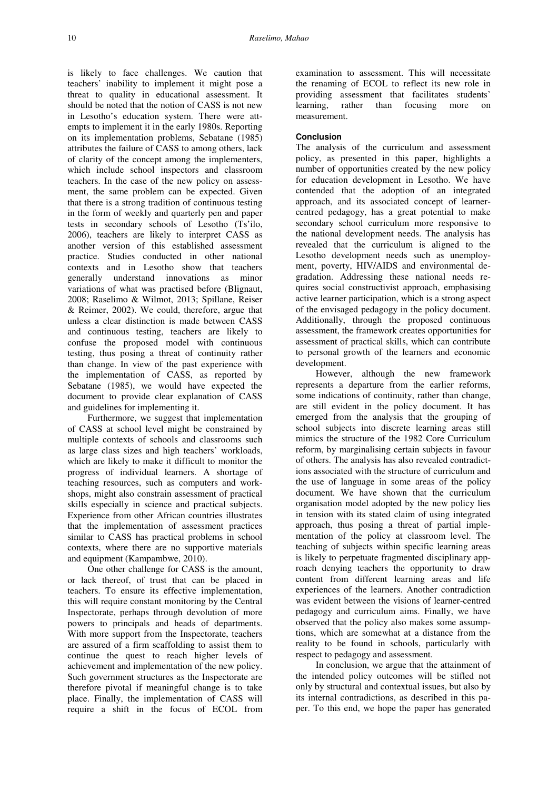is likely to face challenges. We caution that teachers' inability to implement it might pose a threat to quality in educational assessment. It should be noted that the notion of CASS is not new in Lesotho's education system. There were attempts to implement it in the early 1980s. Reporting on its implementation problems, Sebatane (1985) attributes the failure of CASS to among others, lack of clarity of the concept among the implementers, which include school inspectors and classroom teachers. In the case of the new policy on assessment, the same problem can be expected. Given that there is a strong tradition of continuous testing in the form of weekly and quarterly pen and paper tests in secondary schools of Lesotho (Ts'ilo, 2006), teachers are likely to interpret CASS as another version of this established assessment practice. Studies conducted in other national contexts and in Lesotho show that teachers generally understand innovations as minor variations of what was practised before (Blignaut, 2008; Raselimo & Wilmot, 2013; Spillane, Reiser & Reimer, 2002). We could, therefore, argue that unless a clear distinction is made between CASS and continuous testing, teachers are likely to confuse the proposed model with continuous testing, thus posing a threat of continuity rather than change. In view of the past experience with the implementation of CASS, as reported by Sebatane (1985), we would have expected the document to provide clear explanation of CASS and guidelines for implementing it.

Furthermore, we suggest that implementation of CASS at school level might be constrained by multiple contexts of schools and classrooms such as large class sizes and high teachers' workloads, which are likely to make it difficult to monitor the progress of individual learners. A shortage of teaching resources, such as computers and workshops, might also constrain assessment of practical skills especially in science and practical subjects. Experience from other African countries illustrates that the implementation of assessment practices similar to CASS has practical problems in school contexts, where there are no supportive materials and equipment (Kampambwe, 2010).

One other challenge for CASS is the amount, or lack thereof, of trust that can be placed in teachers. To ensure its effective implementation, this will require constant monitoring by the Central Inspectorate, perhaps through devolution of more powers to principals and heads of departments. With more support from the Inspectorate, teachers are assured of a firm scaffolding to assist them to continue the quest to reach higher levels of achievement and implementation of the new policy. Such government structures as the Inspectorate are therefore pivotal if meaningful change is to take place. Finally, the implementation of CASS will require a shift in the focus of ECOL from

examination to assessment. This will necessitate the renaming of ECOL to reflect its new role in providing assessment that facilitates students' learning, rather than focusing more on measurement.

## **Conclusion**

The analysis of the curriculum and assessment policy, as presented in this paper, highlights a number of opportunities created by the new policy for education development in Lesotho. We have contended that the adoption of an integrated approach, and its associated concept of learnercentred pedagogy, has a great potential to make secondary school curriculum more responsive to the national development needs. The analysis has revealed that the curriculum is aligned to the Lesotho development needs such as unemployment, poverty, HIV/AIDS and environmental degradation. Addressing these national needs requires social constructivist approach, emphasising active learner participation, which is a strong aspect of the envisaged pedagogy in the policy document. Additionally, through the proposed continuous assessment, the framework creates opportunities for assessment of practical skills, which can contribute to personal growth of the learners and economic development.

However, although the new framework represents a departure from the earlier reforms, some indications of continuity, rather than change, are still evident in the policy document. It has emerged from the analysis that the grouping of school subjects into discrete learning areas still mimics the structure of the 1982 Core Curriculum reform, by marginalising certain subjects in favour of others. The analysis has also revealed contradictions associated with the structure of curriculum and the use of language in some areas of the policy document. We have shown that the curriculum organisation model adopted by the new policy lies in tension with its stated claim of using integrated approach, thus posing a threat of partial implementation of the policy at classroom level. The teaching of subjects within specific learning areas is likely to perpetuate fragmented disciplinary approach denying teachers the opportunity to draw content from different learning areas and life experiences of the learners. Another contradiction was evident between the visions of learner-centred pedagogy and curriculum aims. Finally, we have observed that the policy also makes some assumptions, which are somewhat at a distance from the reality to be found in schools, particularly with respect to pedagogy and assessment.

In conclusion, we argue that the attainment of the intended policy outcomes will be stifled not only by structural and contextual issues, but also by its internal contradictions, as described in this paper. To this end, we hope the paper has generated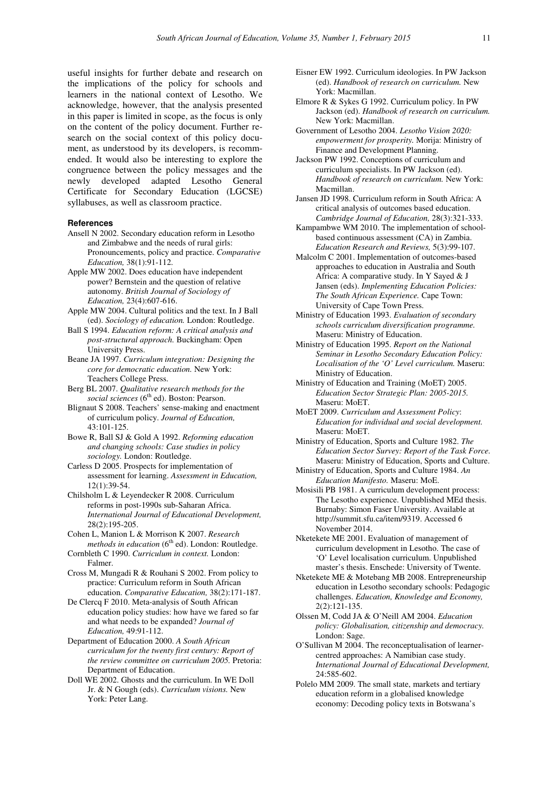useful insights for further debate and research on the implications of the policy for schools and learners in the national context of Lesotho. We acknowledge, however, that the analysis presented in this paper is limited in scope, as the focus is only on the content of the policy document. Further research on the social context of this policy document, as understood by its developers, is recommended. It would also be interesting to explore the congruence between the policy messages and the newly developed adapted Lesotho General Certificate for Secondary Education (LGCSE) syllabuses, as well as classroom practice.

### **References**

- Ansell N 2002. Secondary education reform in Lesotho and Zimbabwe and the needs of rural girls: Pronouncements, policy and practice. *Comparative Education,* 38(1):91-112.
- Apple MW 2002. Does education have independent power? Bernstein and the question of relative autonomy. *British Journal of Sociology of Education,* 23(4):607-616.
- Apple MW 2004. Cultural politics and the text. In J Ball (ed). *Sociology of education.* London: Routledge.
- Ball S 1994. *Education reform: A critical analysis and post-structural approach.* Buckingham: Open University Press.
- Beane JA 1997. *Curriculum integration: Designing the core for democratic education.* New York: Teachers College Press.
- Berg BL 2007. *Qualitative research methods for the social sciences* (6th ed). Boston: Pearson.
- Blignaut S 2008. Teachers' sense-making and enactment of curriculum policy. *Journal of Education,*  43:101-125.
- Bowe R, Ball SJ & Gold A 1992. *Reforming education and changing schools: Case studies in policy sociology.* London: Routledge.
- Carless D 2005. Prospects for implementation of assessment for learning. *Assessment in Education,*  12(1):39-54.
- Chilsholm L & Leyendecker R 2008. Curriculum reforms in post-1990s sub-Saharan Africa. *International Journal of Educational Development,*  28(2):195-205.
- Cohen L, Manion L & Morrison K 2007. *Research methods in education* (6<sup>th</sup> ed). London: Routledge.
- Cornbleth C 1990. *Curriculum in context.* London: Falmer.
- Cross M, Mungadi R & Rouhani S 2002. From policy to practice: Curriculum reform in South African education. *Comparative Education,* 38(2):171-187.
- De Clercq F 2010. Meta-analysis of South African education policy studies: how have we fared so far and what needs to be expanded? *Journal of Education,* 49:91-112.
- Department of Education 2000. *A South African curriculum for the twenty first century: Report of the review committee on curriculum 2005.* Pretoria: Department of Education.
- Doll WE 2002. Ghosts and the curriculum. In WE Doll Jr. & N Gough (eds). *Curriculum visions.* New York: Peter Lang.
- Eisner EW 1992. Curriculum ideologies. In PW Jackson (ed). *Handbook of research on curriculum.* New York: Macmillan.
- Elmore R & Sykes G 1992. Curriculum policy. In PW Jackson (ed). *Handbook of research on curriculum.*  New York: Macmillan.
- Government of Lesotho 2004. *Lesotho Vision 2020: empowerment for prosperity.* Morija: Ministry of Finance and Development Planning.
- Jackson PW 1992. Conceptions of curriculum and curriculum specialists. In PW Jackson (ed). *Handbook of research on curriculum.* New York: Macmillan.
- Jansen JD 1998. Curriculum reform in South Africa: A critical analysis of outcomes based education. *Cambridge Journal of Education,* 28(3):321-333.
- Kampambwe WM 2010. The implementation of schoolbased continuous assessment (CA) in Zambia. *Education Research and Reviews,* 5(3):99-107.
- Malcolm C 2001. Implementation of outcomes-based approaches to education in Australia and South Africa: A comparative study. In Y Sayed & J Jansen (eds). *Implementing Education Policies: The South African Experience.* Cape Town: University of Cape Town Press.
- Ministry of Education 1993. *Evaluation of secondary schools curriculum diversification programme.* Maseru: Ministry of Education.
- Ministry of Education 1995. *Report on the National Seminar in Lesotho Secondary Education Policy: Localisation of the 'O' Level curriculum.* Maseru: Ministry of Education.
- Ministry of Education and Training (MoET) 2005. *Education Sector Strategic Plan: 2005-2015.* Maseru: MoET.
- MoET 2009. *Curriculum and Assessment Policy*: *Education for individual and social development.*  Maseru: MoET.
- Ministry of Education, Sports and Culture 1982. *The Education Sector Survey: Report of the Task Force.* Maseru: Ministry of Education, Sports and Culture.
- Ministry of Education, Sports and Culture 1984. *An Education Manifesto.* Maseru: MoE.
- Mosisili PB 1981. A curriculum development process: The Lesotho experience. Unpublished MEd thesis. Burnaby: Simon Faser University. Available at http://summit.sfu.ca/item/9319. Accessed 6 November 2014.
- Nketekete ME 2001. Evaluation of management of curriculum development in Lesotho. The case of 'O' Level localisation curriculum. Unpublished master's thesis. Enschede: University of Twente.
- Nketekete ME & Motebang MB 2008. Entrepreneurship education in Lesotho secondary schools: Pedagogic challenges. *Education, Knowledge and Economy,*  2(2):121-135.
- Olssen M, Codd JA & O'Neill AM 2004. *Education policy: Globalisation, citizenship and democracy.* London: Sage.
- O'Sullivan M 2004. The reconceptualisation of learnercentred approaches: A Namibian case study. *International Journal of Educational Development,*  24:585-602.
- Polelo MM 2009. The small state, markets and tertiary education reform in a globalised knowledge economy: Decoding policy texts in Botswana's